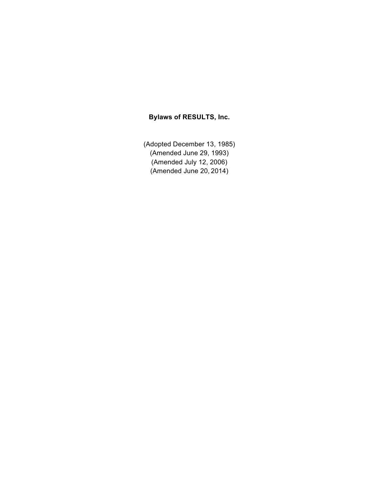# **Bylaws of RESULTS, Inc.**

(Adopted December 13, 1985) (Amended June 29, 1993) (Amended July 12, 2006) (Amended June 20, 2014)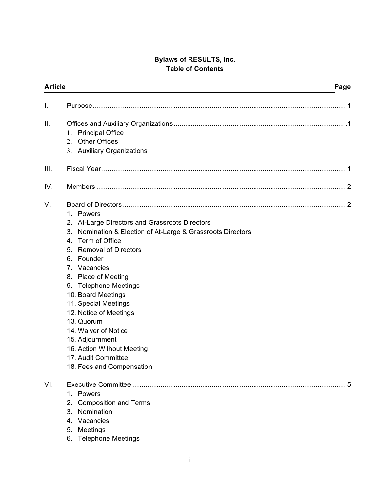# **Bylaws of RESULTS, Inc. Table of Contents**

| <b>Article</b> |                                                                                                                                                                                                                                                                                                                                                                                                                                                                                                                    | Page       |
|----------------|--------------------------------------------------------------------------------------------------------------------------------------------------------------------------------------------------------------------------------------------------------------------------------------------------------------------------------------------------------------------------------------------------------------------------------------------------------------------------------------------------------------------|------------|
| I.             |                                                                                                                                                                                                                                                                                                                                                                                                                                                                                                                    |            |
| II.            | <b>Principal Office</b><br>1.<br><b>Other Offices</b><br>$\mathbf{2}$<br><b>Auxiliary Organizations</b><br>3.                                                                                                                                                                                                                                                                                                                                                                                                      |            |
| III.           |                                                                                                                                                                                                                                                                                                                                                                                                                                                                                                                    |            |
| IV.            |                                                                                                                                                                                                                                                                                                                                                                                                                                                                                                                    |            |
| V.             | 1. Powers<br>2. At-Large Directors and Grassroots Directors<br>3.<br>Nomination & Election of At-Large & Grassroots Directors<br>Term of Office<br>4.<br><b>Removal of Directors</b><br>5.<br>Founder<br>6.<br>7. Vacancies<br><b>Place of Meeting</b><br>8.<br><b>Telephone Meetings</b><br>9.<br>10. Board Meetings<br>11. Special Meetings<br>12. Notice of Meetings<br>13. Quorum<br>14. Waiver of Notice<br>15. Adjournment<br>16. Action Without Meeting<br>17. Audit Committee<br>18. Fees and Compensation |            |
| VI.            | 1. Powers<br>2.<br><b>Composition and Terms</b><br>Nomination<br>3.<br>Vacancies<br>4.<br>Meetings<br>5.<br><b>Telephone Meetings</b><br>6.                                                                                                                                                                                                                                                                                                                                                                        | $\ldots 5$ |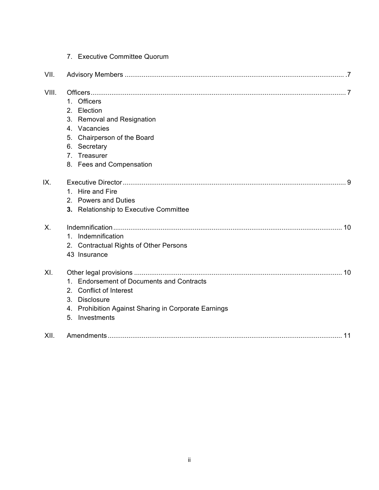|       | 7. Executive Committee Quorum                        |
|-------|------------------------------------------------------|
| VII.  |                                                      |
| VIII. |                                                      |
|       | 1. Officers                                          |
|       | 2. Election                                          |
|       | 3. Removal and Resignation                           |
|       | 4. Vacancies                                         |
|       | 5. Chairperson of the Board                          |
|       | 6. Secretary                                         |
|       | 7. Treasurer                                         |
|       | 8. Fees and Compensation                             |
| IX.   |                                                      |
|       | 1. Hire and Fire                                     |
|       | 2. Powers and Duties                                 |
|       | 3. Relationship to Executive Committee               |
| Χ.    |                                                      |
|       | 1. Indemnification                                   |
|       | 2. Contractual Rights of Other Persons               |
|       | 43 Insurance                                         |
| XI.   |                                                      |
|       | 1. Endorsement of Documents and Contracts            |
|       | 2. Conflict of Interest                              |
|       | 3. Disclosure                                        |
|       | 4. Prohibition Against Sharing in Corporate Earnings |
|       | 5. Investments                                       |
| XII.  |                                                      |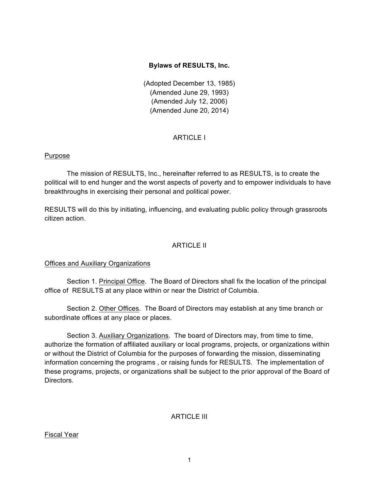# **Bylaws of RESULTS, Inc.**

(Adopted December 13, 1985) (Amended June 29, 1993) (Amended July 12, 2006) (Amended June 20, 2014)

# **ARTICLE I**

# Purpose

The mission of RESULTS, Inc., hereinafter referred to as RESULTS, is to create the political will to end hunger and the worst aspects of poverty and to empower individuals to have breakthroughs in exercising their personal and political power.

RESULTS will do this by initiating, influencing, and evaluating public policy through grassroots citizen action.

# ARTICLE II

# Offices and Auxiliary Organizations

Section 1. Principal Office. The Board of Directors shall fix the location of the principal office of RESULTS at any place within or near the District of Columbia.

Section 2. Other Offices. The Board of Directors may establish at any time branch or subordinate offices at any place or places.

Section 3. Auxiliary Organizations. The board of Directors may, from time to time, authorize the formation of affiliated auxiliary or local programs, projects, or organizations within or without the District of Columbia for the purposes of forwarding the mission, disseminating information concerning the programs , or raising funds for RESULTS. The implementation of these programs, projects, or organizations shall be subject to the prior approval of the Board of Directors.

# ARTICLE III

# Fiscal Year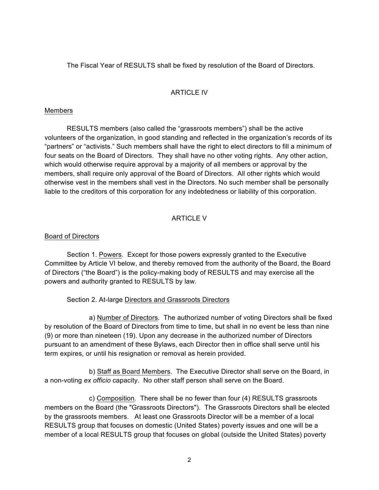The Fiscal Year of RESULTS shall be fixed by resolution of the Board of Directors.

# **ARTICLE IV**

# Members

RESULTS members (also called the "grassroots members") shall be the active volunteers of the organization, in good standing and reflected in the organization's records of its "partners" or "activists." Such members shall have the right to elect directors to fill a minimum of four seats on the Board of Directors. They shall have no other voting rights. Any other action, which would otherwise require approval by a majority of all members or approval by the members, shall require only approval of the Board of Directors. All other rights which would otherwise vest in the members shall vest in the Directors. No such member shall be personally liable to the creditors of this corporation for any indebtedness or liability of this corporation.

# ARTICLE V

# Board of Directors

Section 1. Powers. Except for those powers expressly granted to the Executive Committee by Article VI below, and thereby removed from the authority of the Board, the Board of Directors ("the Board") is the policy-making body of RESULTS and may exercise all the powers and authority granted to RESULTS by law.

# Section 2. At-large Directors and Grassroots Directors

a) Number of Directors. The authorized number of voting Directors shall be fixed by resolution of the Board of Directors from time to time, but shall in no event be less than nine (9) or more than nineteen (19). Upon any decrease in the authorized number of Directors pursuant to an amendment of these Bylaws, each Director then in office shall serve until his term expires, or until his resignation or removal as herein provided.

b) Staff as Board Members. The Executive Director shall serve on the Board, in a non-voting *ex officio* capacity. No other staff person shall serve on the Board.

c) Composition. There shall be no fewer than four (4) RESULTS grassroots members on the Board (the "Grassroots Directors"). The Grassroots Directors shall be elected by the grassroots members. At least one Grassroots Director will be a member of a local RESULTS group that focuses on domestic (United States) poverty issues and one will be a member of a local RESULTS group that focuses on global (outside the United States) poverty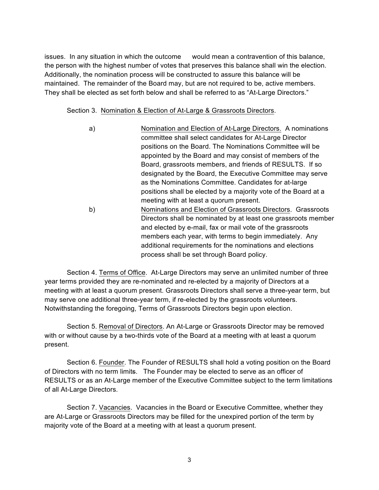issues. In any situation in which the outcome would mean a contravention of this balance, the person with the highest number of votes that preserves this balance shall win the election. Additionally, the nomination process will be constructed to assure this balance will be maintained. The remainder of the Board may, but are not required to be, active members. They shall be elected as set forth below and shall be referred to as "At-Large Directors."

Section 3. Nomination & Election of At-Large & Grassroots Directors.

a) Nomination and Election of At-Large Directors. A nominations committee shall select candidates for At-Large Director positions on the Board. The Nominations Committee will be appointed by the Board and may consist of members of the Board, grassroots members, and friends of RESULTS. If so designated by the Board, the Executive Committee may serve as the Nominations Committee. Candidates for at-large positions shall be elected by a majority vote of the Board at a meeting with at least a quorum present. b) Nominations and Election of Grassroots Directors. Grassroots Directors shall be nominated by at least one grassroots member and elected by e-mail, fax or mail vote of the grassroots members each year, with terms to begin immediately. Any additional requirements for the nominations and elections process shall be set through Board policy.

Section 4. Terms of Office. At-Large Directors may serve an unlimited number of three year terms provided they are re-nominated and re-elected by a majority of Directors at a meeting with at least a quorum present. Grassroots Directors shall serve a three-year term, but may serve one additional three-year term, if re-elected by the grassroots volunteers. Notwithstanding the foregoing, Terms of Grassroots Directors begin upon election.

Section 5. Removal of Directors. An At-Large or Grassroots Director may be removed with or without cause by a two-thirds vote of the Board at a meeting with at least a quorum present.

Section 6. Founder. The Founder of RESULTS shall hold a voting position on the Board of Directors with no term limits. The Founder may be elected to serve as an officer of RESULTS or as an At-Large member of the Executive Committee subject to the term limitations of all At-Large Directors.

Section 7. Vacancies. Vacancies in the Board or Executive Committee, whether they are At-Large or Grassroots Directors may be filled for the unexpired portion of the term by majority vote of the Board at a meeting with at least a quorum present.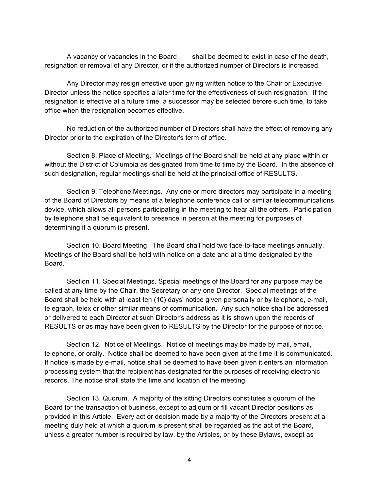A vacancy or vacancies in the Board shall be deemed to exist in case of the death, resignation or removal of any Director, or if the authorized number of Directors is increased.

Any Director may resign effective upon giving written notice to the Chair or Executive Director unless the notice specifies a later time for the effectiveness of such resignation. If the resignation is effective at a future time, a successor may be selected before such time, to take office when the resignation becomes effective.

No reduction of the authorized number of Directors shall have the effect of removing any Director prior to the expiration of the Director's term of office.

Section 8. Place of Meeting. Meetings of the Board shall be held at any place within or without the District of Columbia as designated from time to time by the Board. In the absence of such designation, regular meetings shall be held at the principal office of RESULTS.

Section 9. Telephone Meetings. Any one or more directors may participate in a meeting of the Board of Directors by means of a telephone conference call or similar telecommunications device, which allows all persons participating in the meeting to hear all the others. Participation by telephone shall be equivalent to presence in person at the meeting for purposes of determining if a quorum is present.

Section 10. Board Meeting. The Board shall hold two face-to-face meetings annually. Meetings of the Board shall be held with notice on a date and at a time designated by the Board.

Section 11. Special Meetings. Special meetings of the Board for any purpose may be called at any time by the Chair, the Secretary or any one Director. Special meetings of the Board shall be held with at least ten (10) days' notice given personally or by telephone, e-mail, telegraph, telex or other similar means of communication. Any such notice shall be addressed or delivered to each Director at such Director's address as it is shown upon the records of RESULTS or as may have been given to RESULTS by the Director for the purpose of notice.

Section 12. Notice of Meetings. Notice of meetings may be made by mail, email, telephone, or orally. Notice shall be deemed to have been given at the time it is communicated. If notice is made by e-mail, notice shall be deemed to have been given it enters an information processing system that the recipient has designated for the purposes of receiving electronic records. The notice shall state the time and location of the meeting.

Section 13. Quorum. A majority of the sitting Directors constitutes a quorum of the Board for the transaction of business, except to adjourn or fill vacant Director positions as provided in this Article. Every act or decision made by a majority of the Directors present at a meeting duly held at which a quorum is present shall be regarded as the act of the Board, unless a greater number is required by law, by the Articles, or by these Bylaws, except as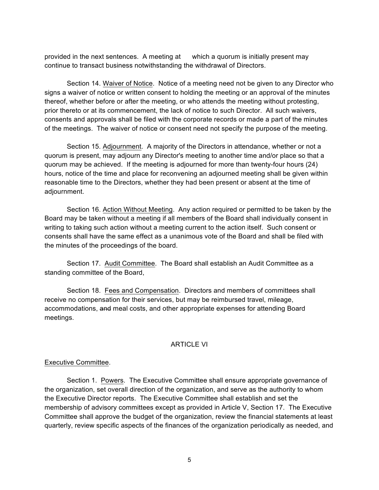provided in the next sentences. A meeting at which a quorum is initially present may continue to transact business notwithstanding the withdrawal of Directors.

Section 14. Waiver of Notice. Notice of a meeting need not be given to any Director who signs a waiver of notice or written consent to holding the meeting or an approval of the minutes thereof, whether before or after the meeting, or who attends the meeting without protesting, prior thereto or at its commencement, the lack of notice to such Director. All such waivers, consents and approvals shall be filed with the corporate records or made a part of the minutes of the meetings. The waiver of notice or consent need not specify the purpose of the meeting.

Section 15. Adjournment. A majority of the Directors in attendance, whether or not a quorum is present, may adjourn any Director's meeting to another time and/or place so that a quorum may be achieved. If the meeting is adjourned for more than twenty-four hours (24) hours, notice of the time and place for reconvening an adjourned meeting shall be given within reasonable time to the Directors, whether they had been present or absent at the time of adjournment.

Section 16. Action Without Meeting. Any action required or permitted to be taken by the Board may be taken without a meeting if all members of the Board shall individually consent in writing to taking such action without a meeting current to the action itself. Such consent or consents shall have the same effect as a unanimous vote of the Board and shall be filed with the minutes of the proceedings of the board.

Section 17. Audit Committee. The Board shall establish an Audit Committee as a standing committee of the Board,

Section 18. Fees and Compensation. Directors and members of committees shall receive no compensation for their services, but may be reimbursed travel, mileage, accommodations, and meal costs, and other appropriate expenses for attending Board meetings.

#### ARTICLE VI

#### Executive Committee.

Section 1. Powers. The Executive Committee shall ensure appropriate governance of the organization, set overall direction of the organization, and serve as the authority to whom the Executive Director reports. The Executive Committee shall establish and set the membership of advisory committees except as provided in Article V, Section 17. The Executive Committee shall approve the budget of the organization, review the financial statements at least quarterly, review specific aspects of the finances of the organization periodically as needed, and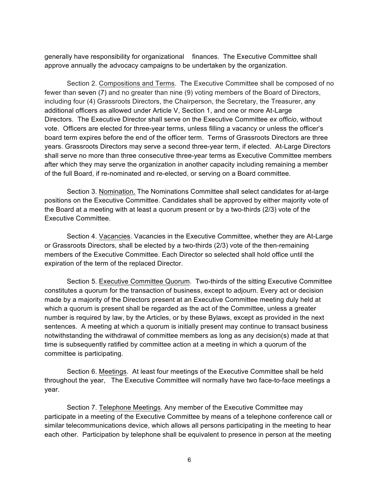generally have responsibility for organizational finances. The Executive Committee shall approve annually the advocacy campaigns to be undertaken by the organization.

Section 2. Compositions and Terms. The Executive Committee shall be composed of no fewer than seven (7) and no greater than nine (9) voting members of the Board of Directors, including four (4) Grassroots Directors, the Chairperson, the Secretary, the Treasurer, any additional officers as allowed under Article V, Section 1, and one or more At-Large Directors. The Executive Director shall serve on the Executive Committee *ex officio*, without vote. Officers are elected for three-year terms, unless filling a vacancy or unless the officer's board term expires before the end of the officer term. Terms of Grassroots Directors are three years. Grassroots Directors may serve a second three-year term, if elected. At-Large Directors shall serve no more than three consecutive three-year terms as Executive Committee members after which they may serve the organization in another capacity including remaining a member of the full Board, if re-nominated and re-elected, or serving on a Board committee.

Section 3. Nomination. The Nominations Committee shall select candidates for at-large positions on the Executive Committee. Candidates shall be approved by either majority vote of the Board at a meeting with at least a quorum present or by a two-thirds (2/3) vote of the Executive Committee.

Section 4. Vacancies. Vacancies in the Executive Committee, whether they are At-Large or Grassroots Directors, shall be elected by a two-thirds (2/3) vote of the then-remaining members of the Executive Committee. Each Director so selected shall hold office until the expiration of the term of the replaced Director.

Section 5. Executive Committee Quorum. Two-thirds of the sitting Executive Committee constitutes a quorum for the transaction of business, except to adjourn. Every act or decision made by a majority of the Directors present at an Executive Committee meeting duly held at which a quorum is present shall be regarded as the act of the Committee, unless a greater number is required by law, by the Articles, or by these Bylaws, except as provided in the next sentences. A meeting at which a quorum is initially present may continue to transact business notwithstanding the withdrawal of committee members as long as any decision(s) made at that time is subsequently ratified by committee action at a meeting in which a quorum of the committee is participating.

Section 6. Meetings. At least four meetings of the Executive Committee shall be held throughout the year, The Executive Committee will normally have two face-to-face meetings a year.

Section 7. Telephone Meetings. Any member of the Executive Committee may participate in a meeting of the Executive Committee by means of a telephone conference call or similar telecommunications device, which allows all persons participating in the meeting to hear each other. Participation by telephone shall be equivalent to presence in person at the meeting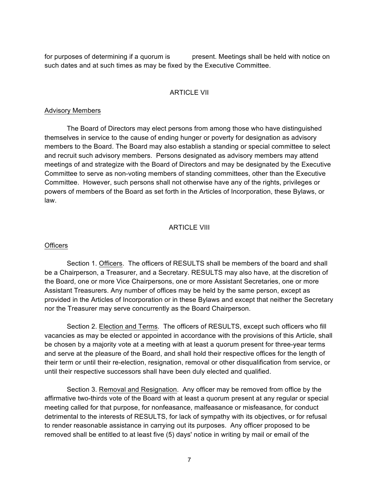for purposes of determining if a quorum is present. Meetings shall be held with notice on such dates and at such times as may be fixed by the Executive Committee.

### **ARTICLE VII**

#### Advisory Members

The Board of Directors may elect persons from among those who have distinguished themselves in service to the cause of ending hunger or poverty for designation as advisory members to the Board. The Board may also establish a standing or special committee to select and recruit such advisory members. Persons designated as advisory members may attend meetings of and strategize with the Board of Directors and may be designated by the Executive Committee to serve as non-voting members of standing committees, other than the Executive Committee. However, such persons shall not otherwise have any of the rights, privileges or powers of members of the Board as set forth in the Articles of Incorporation, these Bylaws, or law.

#### **ARTICLE VIII**

#### **Officers**

Section 1. Officers. The officers of RESULTS shall be members of the board and shall be a Chairperson, a Treasurer, and a Secretary. RESULTS may also have, at the discretion of the Board, one or more Vice Chairpersons, one or more Assistant Secretaries, one or more Assistant Treasurers. Any number of offices may be held by the same person, except as provided in the Articles of Incorporation or in these Bylaws and except that neither the Secretary nor the Treasurer may serve concurrently as the Board Chairperson.

Section 2. Election and Terms. The officers of RESULTS, except such officers who fill vacancies as may be elected or appointed in accordance with the provisions of this Article, shall be chosen by a majority vote at a meeting with at least a quorum present for three-year terms and serve at the pleasure of the Board, and shall hold their respective offices for the length of their term or until their re-election, resignation, removal or other disqualification from service, or until their respective successors shall have been duly elected and qualified.

Section 3. Removal and Resignation. Any officer may be removed from office by the affirmative two-thirds vote of the Board with at least a quorum present at any regular or special meeting called for that purpose, for nonfeasance, malfeasance or misfeasance, for conduct detrimental to the interests of RESULTS, for lack of sympathy with its objectives, or for refusal to render reasonable assistance in carrying out its purposes. Any officer proposed to be removed shall be entitled to at least five (5) days' notice in writing by mail or email of the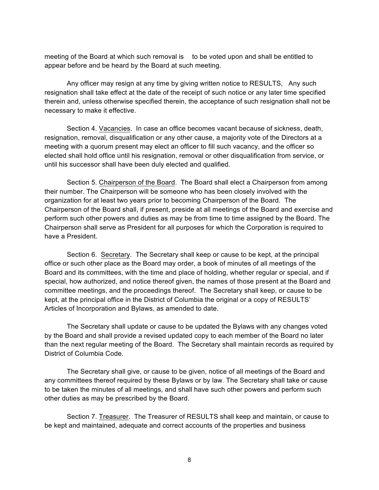meeting of the Board at which such removal is to be voted upon and shall be entitled to appear before and be heard by the Board at such meeting.

Any officer may resign at any time by giving written notice to RESULTS, Any such resignation shall take effect at the date of the receipt of such notice or any later time specified therein and, unless otherwise specified therein, the acceptance of such resignation shall not be necessary to make it effective.

Section 4. Vacancies. In case an office becomes vacant because of sickness, death, resignation, removal, disqualification or any other cause, a majority vote of the Directors at a meeting with a quorum present may elect an officer to fill such vacancy, and the officer so elected shall hold office until his resignation, removal or other disqualification from service, or until his successor shall have been duly elected and qualified.

Section 5. Chairperson of the Board. The Board shall elect a Chairperson from among their number. The Chairperson will be someone who has been closely involved with the organization for at least two years prior to becoming Chairperson of the Board. The Chairperson of the Board shall, if present, preside at all meetings of the Board and exercise and perform such other powers and duties as may be from time to time assigned by the Board. The Chairperson shall serve as President for all purposes for which the Corporation is required to have a President.

Section 6. Secretary. The Secretary shall keep or cause to be kept, at the principal office or such other place as the Board may order, a book of minutes of all meetings of the Board and its committees, with the time and place of holding, whether regular or special, and if special, how authorized, and notice thereof given, the names of those present at the Board and committee meetings, and the proceedings thereof. The Secretary shall keep, or cause to be kept, at the principal office in the District of Columbia the original or a copy of RESULTS' Articles of Incorporation and Bylaws, as amended to date.

The Secretary shall update or cause to be updated the Bylaws with any changes voted by the Board and shall provide a revised updated copy to each member of the Board no later than the next regular meeting of the Board. The Secretary shall maintain records as required by District of Columbia Code.

The Secretary shall give, or cause to be given, notice of all meetings of the Board and any committees thereof required by these Bylaws or by law. The Secretary shall take or cause to be taken the minutes of all meetings, and shall have such other powers and perform such other duties as may be prescribed by the Board.

Section 7. Treasurer. The Treasurer of RESULTS shall keep and maintain, or cause to be kept and maintained, adequate and correct accounts of the properties and business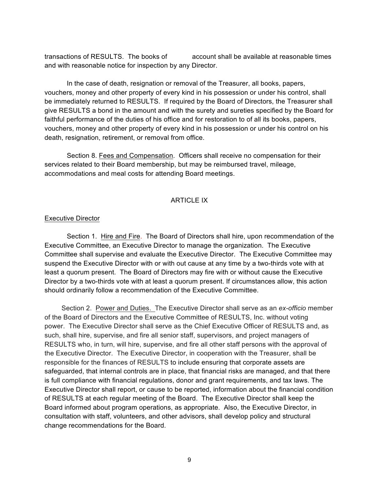transactions of RESULTS. The books of account shall be available at reasonable times and with reasonable notice for inspection by any Director.

In the case of death, resignation or removal of the Treasurer, all books, papers, vouchers, money and other property of every kind in his possession or under his control, shall be immediately returned to RESULTS. If required by the Board of Directors, the Treasurer shall give RESULTS a bond in the amount and with the surety and sureties specified by the Board for faithful performance of the duties of his office and for restoration to of all its books, papers, vouchers, money and other property of every kind in his possession or under his control on his death, resignation, retirement, or removal from office.

Section 8. Fees and Compensation. Officers shall receive no compensation for their services related to their Board membership, but may be reimbursed travel, mileage, accommodations and meal costs for attending Board meetings.

### ARTICLE IX

#### Executive Director

Section 1. Hire and Fire. The Board of Directors shall hire, upon recommendation of the Executive Committee, an Executive Director to manage the organization. The Executive Committee shall supervise and evaluate the Executive Director. The Executive Committee may suspend the Executive Director with or with out cause at any time by a two-thirds vote with at least a quorum present. The Board of Directors may fire with or without cause the Executive Director by a two-thirds vote with at least a quorum present. If circumstances allow, this action should ordinarily follow a recommendation of the Executive Committee.

 Section 2. Power and Duties. The Executive Director shall serve as an *ex-officio* member of the Board of Directors and the Executive Committee of RESULTS, Inc. without voting power. The Executive Director shall serve as the Chief Executive Officer of RESULTS and, as such, shall hire, supervise, and fire all senior staff, supervisors, and project managers of RESULTS who, in turn, will hire, supervise, and fire all other staff persons with the approval of the Executive Director. The Executive Director, in cooperation with the Treasurer, shall be responsible for the finances of RESULTS to include ensuring that corporate assets are safeguarded, that internal controls are in place, that financial risks are managed, and that there is full compliance with financial regulations, donor and grant requirements, and tax laws. The Executive Director shall report, or cause to be reported, information about the financial condition of RESULTS at each regular meeting of the Board. The Executive Director shall keep the Board informed about program operations, as appropriate. Also, the Executive Director, in consultation with staff, volunteers, and other advisors, shall develop policy and structural change recommendations for the Board.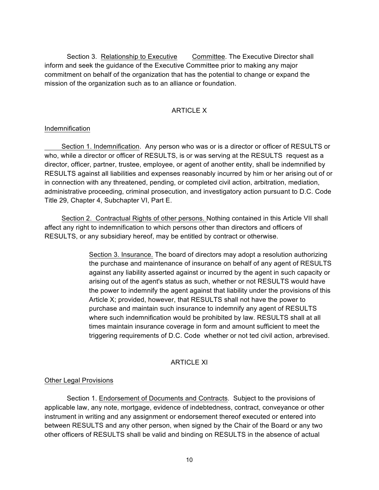Section 3. Relationship to Executive Committee. The Executive Director shall inform and seek the guidance of the Executive Committee prior to making any major commitment on behalf of the organization that has the potential to change or expand the mission of the organization such as to an alliance or foundation.

### ARTICLE X

### Indemnification

 Section 1. Indemnification. Any person who was or is a director or officer of RESULTS or who, while a director or officer of RESULTS, is or was serving at the RESULTS request as a director, officer, partner, trustee, employee, or agent of another entity, shall be indemnified by RESULTS against all liabilities and expenses reasonably incurred by him or her arising out of or in connection with any threatened, pending, or completed civil action, arbitration, mediation, administrative proceeding, criminal prosecution, and investigatory action pursuant to D.C. Code Title 29, Chapter 4, Subchapter VI, Part E.

 Section 2. Contractual Rights of other persons. Nothing contained in this Article VII shall affect any right to indemnification to which persons other than directors and officers of RESULTS, or any subsidiary hereof, may be entitled by contract or otherwise.

> Section 3. Insurance. The board of directors may adopt a resolution authorizing the purchase and maintenance of insurance on behalf of any agent of RESULTS against any liability asserted against or incurred by the agent in such capacity or arising out of the agent's status as such, whether or not RESULTS would have the power to indemnify the agent against that liability under the provisions of this Article X; provided, however, that RESULTS shall not have the power to purchase and maintain such insurance to indemnify any agent of RESULTS where such indemnification would be prohibited by law. RESULTS shall at all times maintain insurance coverage in form and amount sufficient to meet the triggering requirements of D.C. Code whether or not ted civil action, arbrevised.

### ARTICLE XI

# Other Legal Provisions

Section 1. Endorsement of Documents and Contracts. Subject to the provisions of applicable law, any note, mortgage, evidence of indebtedness, contract, conveyance or other instrument in writing and any assignment or endorsement thereof executed or entered into between RESULTS and any other person, when signed by the Chair of the Board or any two other officers of RESULTS shall be valid and binding on RESULTS in the absence of actual